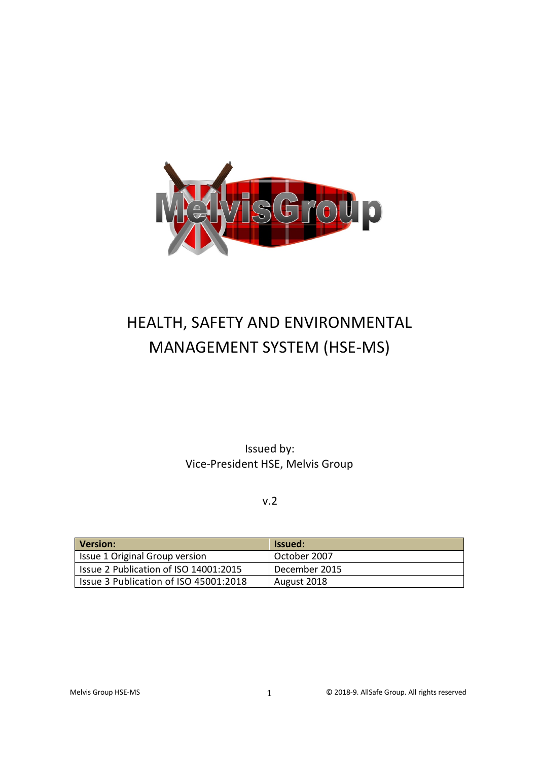

# HEALTH, SAFETY AND ENVIRONMENTAL MANAGEMENT SYSTEM (HSE-MS)

Issued by: Vice-President HSE, Melvis Group

v.2

| Version:                              | lssued:       |
|---------------------------------------|---------------|
| Issue 1 Original Group version        | October 2007  |
| Issue 2 Publication of ISO 14001:2015 | December 2015 |
| Issue 3 Publication of ISO 45001:2018 | August 2018   |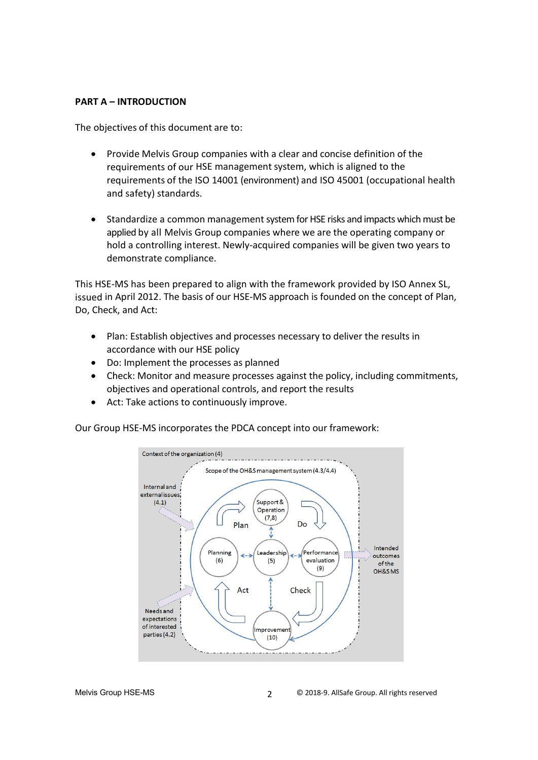#### **PART A – INTRODUCTION**

The objectives of this document are to:

- Provide Melvis Group companies with a clear and concise definition of the requirements of our HSE management system, which is aligned to the requirements of the ISO 14001 (environment) and ISO 45001 (occupational health and safety) standards.
- Standardize a common management system for HSE risks and impacts which must be applied by all Melvis Group companies where we are the operating company or hold a controlling interest. Newly-acquired companies will be given two years to demonstrate compliance.

This HSE-MS has been prepared to align with the framework provided by ISO Annex SL, issued in April 2012. The basis of our HSE-MS approach is founded on the concept of Plan, Do, Check, and Act:

- Plan: Establish objectives and processes necessary to deliver the results in accordance with our HSE policy
- Do: Implement the processes as planned
- Check: Monitor and measure processes against the policy, including commitments, objectives and operational controls, and report the results
- Act: Take actions to continuously improve.

Our Group HSE-MS incorporates the PDCA concept into our framework:

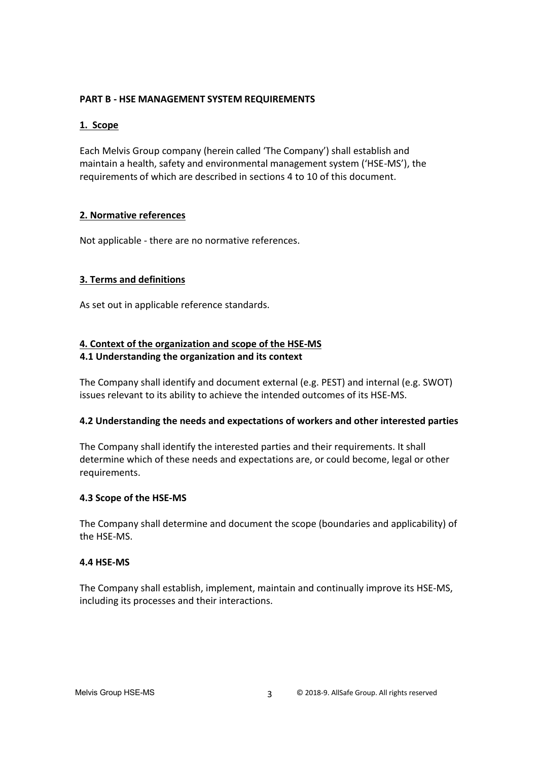## **PART B - HSE MANAGEMENT SYSTEM REQUIREMENTS**

## **1. Scope**

Each Melvis Group company (herein called 'The Company') shall establish and maintain a health, safety and environmental management system ('HSE-MS'), the requirements of which are described in sections 4 to 10 of this document.

## **2. Normative references**

Not applicable - there are no normative references.

## **3. Terms and definitions**

As set out in applicable reference standards.

## **4. Context of the organization and scope of the HSE-MS 4.1 Understanding the organization and its context**

The Company shall identify and document external (e.g. PEST) and internal (e.g. SWOT) issues relevant to its ability to achieve the intended outcomes of its HSE-MS.

#### **4.2 Understanding the needs and expectations of workers and other interested parties**

The Company shall identify the interested parties and their requirements. It shall determine which of these needs and expectations are, or could become, legal or other requirements.

#### **4.3 Scope of the HSE-MS**

The Company shall determine and document the scope (boundaries and applicability) of the HSE-MS.

#### **4.4 HSE-MS**

The Company shall establish, implement, maintain and continually improve its HSE-MS, including its processes and their interactions.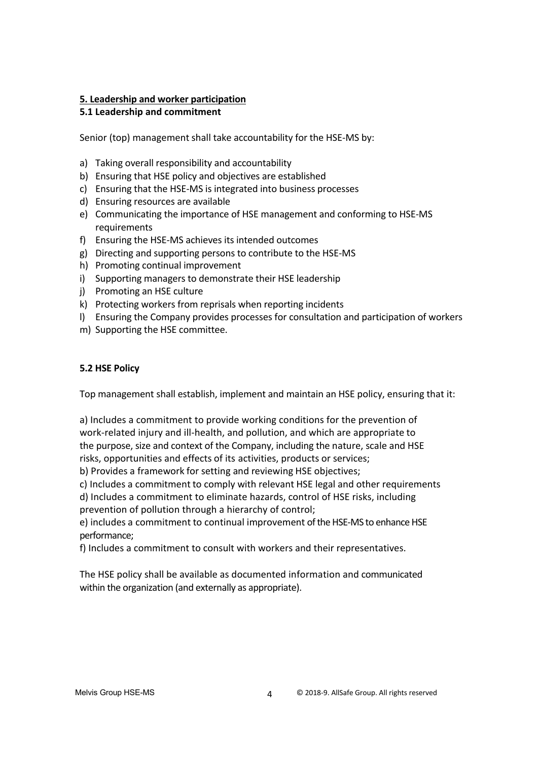## **5. Leadership and worker participation**

# **5.1 Leadership and commitment**

Senior (top) management shall take accountability for the HSE-MS by:

- a) Taking overall responsibility and accountability
- b) Ensuring that HSE policy and objectives are established
- c) Ensuring that the HSE-MS is integrated into business processes
- d) Ensuring resources are available
- e) Communicating the importance of HSE management and conforming to HSE-MS requirements
- f) Ensuring the HSE-MS achieves its intended outcomes
- g) Directing and supporting persons to contribute to the HSE-MS
- h) Promoting continual improvement
- i) Supporting managers to demonstrate their HSE leadership
- j) Promoting an HSE culture
- k) Protecting workers from reprisals when reporting incidents
- l) Ensuring the Company provides processes for consultation and participation of workers
- m) Supporting the HSE committee.

#### **5.2 HSE Policy**

Top management shall establish, implement and maintain an HSE policy, ensuring that it:

a) Includes a commitment to provide working conditions for the prevention of work-related injury and ill-health, and pollution, and which are appropriate to the purpose, size and context of the Company, including the nature, scale and HSE risks, opportunities and effects of its activities, products or services;

b) Provides a framework for setting and reviewing HSE objectives;

c) Includes a commitment to comply with relevant HSE legal and other requirements

d) Includes a commitment to eliminate hazards, control of HSE risks, including prevention of pollution through a hierarchy of control;

e) includes a commitment to continual improvement of the HSE-MS to enhance HSE performance;

f) Includes a commitment to consult with workers and their representatives.

The HSE policy shall be available as documented information and communicated within the organization (and externally as appropriate).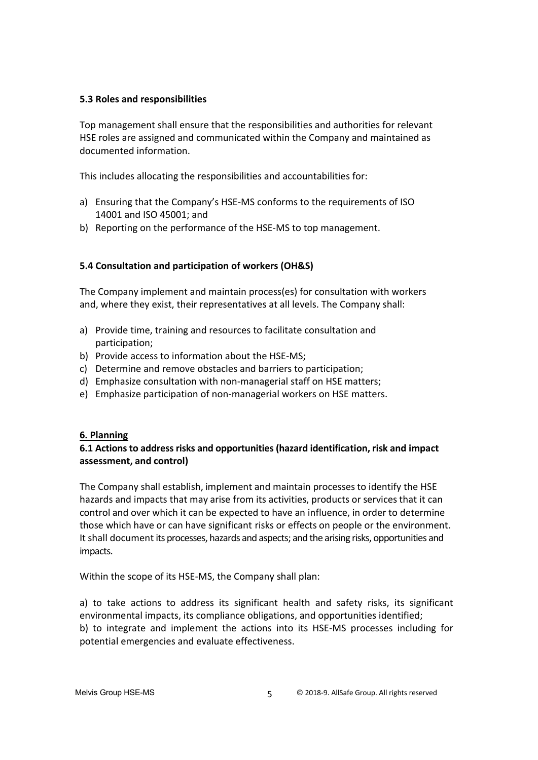#### **5.3 Roles and responsibilities**

Top management shall ensure that the responsibilities and authorities for relevant HSE roles are assigned and communicated within the Company and maintained as documented information.

This includes allocating the responsibilities and accountabilities for:

- a) Ensuring that the Company's HSE-MS conforms to the requirements of ISO 14001 and ISO 45001; and
- b) Reporting on the performance of the HSE-MS to top management.

#### **5.4 Consultation and participation of workers (OH&S)**

The Company implement and maintain process(es) for consultation with workers and, where they exist, their representatives at all levels. The Company shall:

- a) Provide time, training and resources to facilitate consultation and participation;
- b) Provide access to information about the HSE-MS;
- c) Determine and remove obstacles and barriers to participation;
- d) Emphasize consultation with non-managerial staff on HSE matters;
- e) Emphasize participation of non-managerial workers on HSE matters.

#### **6. Planning**

#### **6.1 Actions to address risks and opportunities (hazard identification, risk and impact assessment, and control)**

The Company shall establish, implement and maintain processesto identify the HSE hazards and impacts that may arise from its activities, products or services that it can control and over which it can be expected to have an influence, in order to determine those which have or can have significant risks or effects on people or the environment. It shall document its processes, hazards and aspects; and the arising risks, opportunities and impacts.

Within the scope of its HSE-MS, the Company shall plan:

a) to take actions to address its significant health and safety risks, its significant environmental impacts, its compliance obligations, and opportunities identified; b) to integrate and implement the actions into its HSE-MS processes including for potential emergencies and evaluate effectiveness.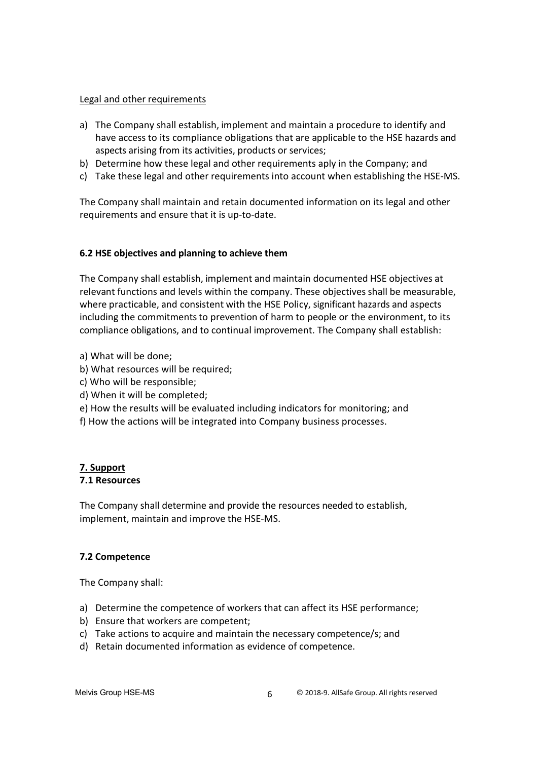#### Legal and other requirements

- a) The Company shall establish, implement and maintain a procedure to identify and have access to its compliance obligations that are applicable to the HSE hazards and aspects arising from its activities, products or services;
- b) Determine how these legal and other requirements aply in the Company; and
- c) Take these legal and other requirements into account when establishing the HSE-MS.

The Company shall maintain and retain documented information on its legal and other requirements and ensure that it is up-to-date.

#### **6.2 HSE objectives and planning to achieve them**

The Company shall establish, implement and maintain documented HSE objectives at relevant functions and levels within the company. These objectives shall be measurable, where practicable, and consistent with the HSE Policy, significant hazards and aspects including the commitments to prevention of harm to people or the environment, to its compliance obligations, and to continual improvement. The Company shall establish:

- a) What will be done;
- b) What resources will be required;
- c) Who will be responsible;
- d) When it will be completed;
- e) How the results will be evaluated including indicators for monitoring; and
- f) How the actions will be integrated into Company business processes.

#### **7. Support 7.1 Resources**

The Company shall determine and provide the resources needed to establish, implement, maintain and improve the HSE-MS.

# **7.2 Competence**

The Company shall:

- a) Determine the competence of workers that can affect its HSE performance;
- b) Ensure that workers are competent;
- c) Take actions to acquire and maintain the necessary competence/s; and
- d) Retain documented information as evidence of competence.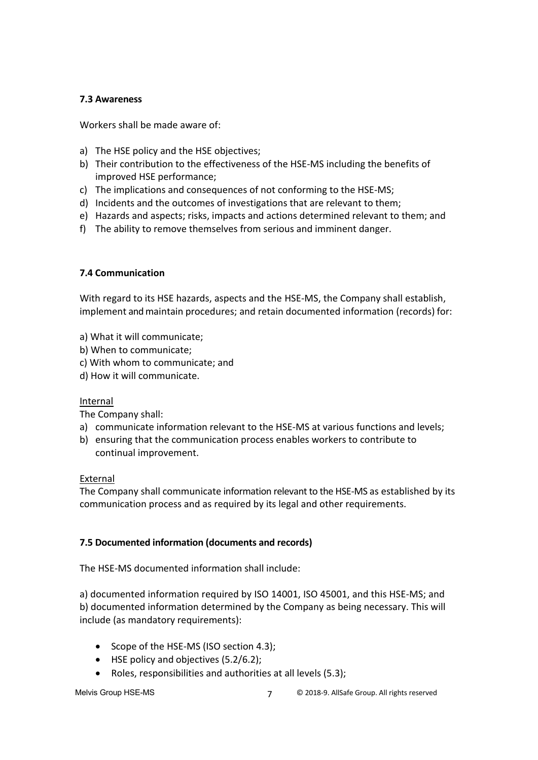#### **7.3 Awareness**

Workers shall be made aware of:

- a) The HSE policy and the HSE objectives;
- b) Their contribution to the effectiveness of the HSE-MS including the benefits of improved HSE performance;
- c) The implications and consequences of not conforming to the HSE-MS;
- d) Incidents and the outcomes of investigations that are relevant to them;
- e) Hazards and aspects; risks, impacts and actions determined relevant to them; and
- f) The ability to remove themselves from serious and imminent danger.

## **7.4 Communication**

With regard to its HSE hazards, aspects and the HSE-MS, the Company shall establish, implement and maintain procedures; and retain documented information (records) for:

- a) What it will communicate;
- b) When to communicate;
- c) With whom to communicate; and
- d) How it will communicate.

#### Internal

The Company shall:

- a) communicate information relevant to the HSE-MS at various functions and levels;
- b) ensuring that the communication process enables workers to contribute to continual improvement.

#### External

The Company shall communicate information relevant to the HSE-MS as established by its communication process and as required by its legal and other requirements.

#### **7.5 Documented information (documents and records)**

The HSE-MS documented information shall include:

a) documented information required by ISO 14001, ISO 45001, and this HSE-MS; and b) documented information determined by the Company as being necessary. This will include (as mandatory requirements):

- Scope of the HSE-MS (ISO section 4.3);
- HSE policy and objectives (5.2/6.2);
- Roles, responsibilities and authorities at all levels (5.3);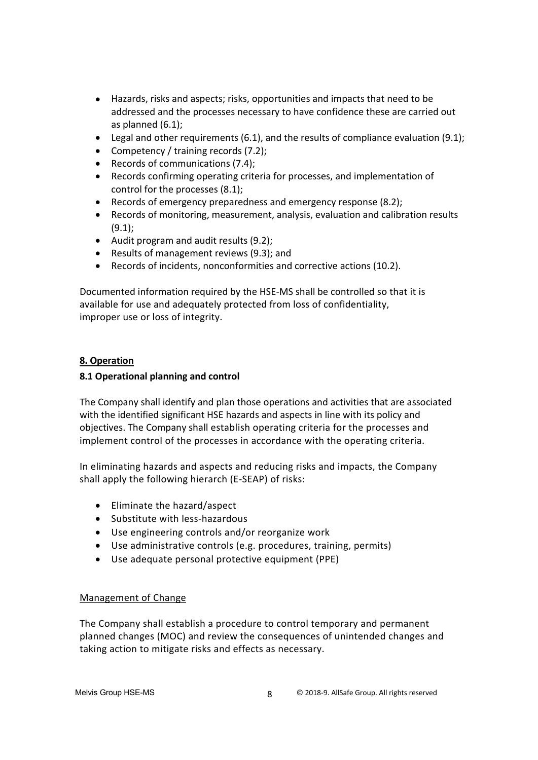- Hazards, risks and aspects; risks, opportunities and impacts that need to be addressed and the processes necessary to have confidence these are carried out as planned (6.1);
- Legal and other requirements  $(6.1)$ , and the results of compliance evaluation  $(9.1)$ ;
- Competency / training records (7.2);
- Records of communications (7.4);
- Records confirming operating criteria for processes, and implementation of control for the processes (8.1);
- Records of emergency preparedness and emergency response (8.2);
- Records of monitoring, measurement, analysis, evaluation and calibration results (9.1);
- Audit program and audit results (9.2);
- Results of management reviews (9.3); and
- Records of incidents, nonconformities and corrective actions (10.2).

Documented information required by the HSE-MS shall be controlled so that it is available for use and adequately protected from loss of confidentiality, improper use or loss of integrity.

#### **8. Operation**

#### **8.1 Operational planning and control**

The Company shall identify and plan those operations and activities that are associated with the identified significant HSE hazards and aspects in line with its policy and objectives. The Company shall establish operating criteria for the processes and implement control of the processes in accordance with the operating criteria.

In eliminating hazards and aspects and reducing risks and impacts, the Company shall apply the following hierarch (E-SEAP) of risks:

- Eliminate the hazard/aspect
- Substitute with less-hazardous
- Use engineering controls and/or reorganize work
- Use administrative controls (e.g. procedures, training, permits)
- Use adequate personal protective equipment (PPE)

#### Management of Change

The Company shall establish a procedure to control temporary and permanent planned changes (MOC) and review the consequences of unintended changes and taking action to mitigate risks and effects as necessary.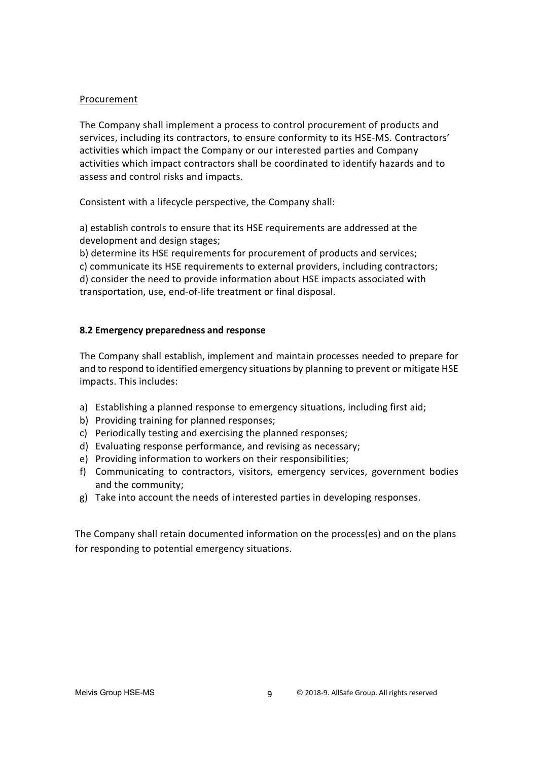#### Procurement

The Company shall implement a process to control procurement of products and services, including its contractors, to ensure conformity to its HSE-MS. Contractors' activities which impact the Company or our interested parties and Company activities which impact contractors shall be coordinated to identify hazards and to assess and control risks and impacts.

Consistent with a lifecycle perspective, the Company shall:

a) establish controls to ensure that its HSE requirements are addressed at the development and design stages;

b) determine its HSE requirements for procurement of products and services;

c) communicate its HSE requirements to external providers, including contractors; d) consider the need to provide information about HSE impacts associated with transportation, use, end-of-life treatment or final disposal.

#### **8.2 Emergency preparedness and response**

The Company shall establish, implement and maintain processes needed to prepare for and to respond to identified emergency situations by planning to prevent or mitigate HSE impacts. This includes:

- a) Establishing a planned response to emergency situations, including first aid;
- b) Providing training for planned responses;
- c) Periodically testing and exercising the planned responses;
- d) Evaluating response performance, and revising as necessary;
- e) Providing information to workers on their responsibilities;
- f) Communicating to contractors, visitors, emergency services, government bodies and the community;
- g) Take into account the needs of interested parties in developing responses.

The Company shall retain documented information on the process(es) and on the plans for responding to potential emergency situations.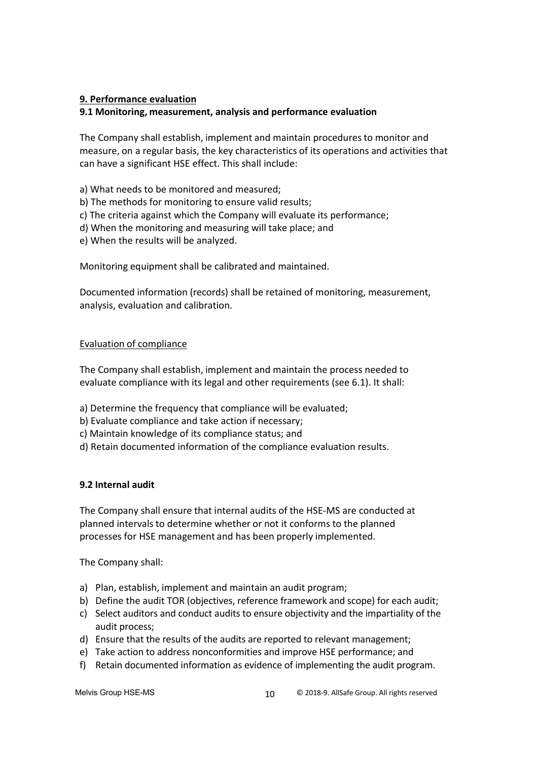#### **9. Performance evaluation**

#### **9.1 Monitoring, measurement, analysis and performance evaluation**

The Company shall establish, implement and maintain procedures to monitor and measure, on a regular basis, the key characteristics of its operations and activities that can have a significant HSE effect. This shall include:

a) What needs to be monitored and measured;

- b) The methods for monitoring to ensure valid results;
- c) The criteria against which the Company will evaluate its performance;
- d) When the monitoring and measuring will take place; and
- e) When the results will be analyzed.

Monitoring equipment shall be calibrated and maintained.

Documented information (records) shall be retained of monitoring, measurement, analysis, evaluation and calibration.

#### Evaluation of compliance

The Company shall establish, implement and maintain the process needed to evaluate compliance with its legal and other requirements (see 6.1). It shall:

- a) Determine the frequency that compliance will be evaluated;
- b) Evaluate compliance and take action if necessary;
- c) Maintain knowledge of its compliance status; and
- d) Retain documented information of the compliance evaluation results.

#### **9.2 Internal audit**

The Company shall ensure that internal audits of the HSE-MS are conducted at planned intervals to determine whether or not it conforms to the planned processes for HSE management and has been properly implemented.

The Company shall:

- a) Plan, establish, implement and maintain an audit program;
- b) Define the audit TOR (objectives, reference framework and scope) for each audit;
- c) Select auditors and conduct audits to ensure objectivity and the impartiality of the audit process;
- d) Ensure that the results of the audits are reported to relevant management;
- e) Take action to address nonconformities and improve HSE performance; and
- f) Retain documented information as evidence of implementing the audit program.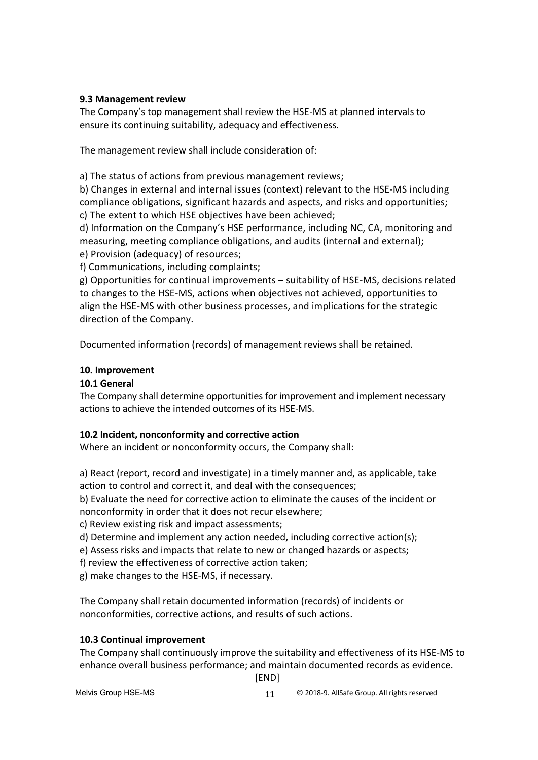## **9.3 Management review**

The Company's top management shall review the HSE-MS at planned intervals to ensure its continuing suitability, adequacy and effectiveness.

The management review shall include consideration of:

a) The status of actions from previous management reviews;

b) Changes in external and internal issues (context) relevant to the HSE-MS including compliance obligations, significant hazards and aspects, and risks and opportunities; c) The extent to which HSE objectives have been achieved;

d) Information on the Company's HSE performance, including NC, CA, monitoring and measuring, meeting compliance obligations, and audits (internal and external); e) Provision (adequacy) of resources;

f) Communications, including complaints;

g) Opportunities for continual improvements – suitability of HSE-MS, decisions related to changes to the HSE-MS, actions when objectives not achieved, opportunities to align the HSE-MS with other business processes, and implications for the strategic direction of the Company.

Documented information (records) of management reviews shall be retained.

## **10. Improvement**

# **10.1 General**

The Company shall determine opportunities for improvement and implement necessary actions to achieve the intended outcomes of its HSE-MS.

# **10.2 Incident, nonconformity and corrective action**

Where an incident or nonconformity occurs, the Company shall:

a) React (report, record and investigate) in a timely manner and, as applicable, take action to control and correct it, and deal with the consequences;

b) Evaluate the need for corrective action to eliminate the causes of the incident or nonconformity in order that it does not recur elsewhere;

c) Review existing risk and impact assessments;

d) Determine and implement any action needed, including corrective action(s);

e) Assess risks and impacts that relate to new or changed hazards or aspects;

f) review the effectiveness of corrective action taken;

g) make changes to the HSE-MS, if necessary.

The Company shall retain documented information (records) of incidents or nonconformities, corrective actions, and results of such actions.

# **10.3 Continual improvement**

The Company shall continuously improve the suitability and effectiveness of its HSE-MS to enhance overall business performance; and maintain documented records as evidence.

[END]